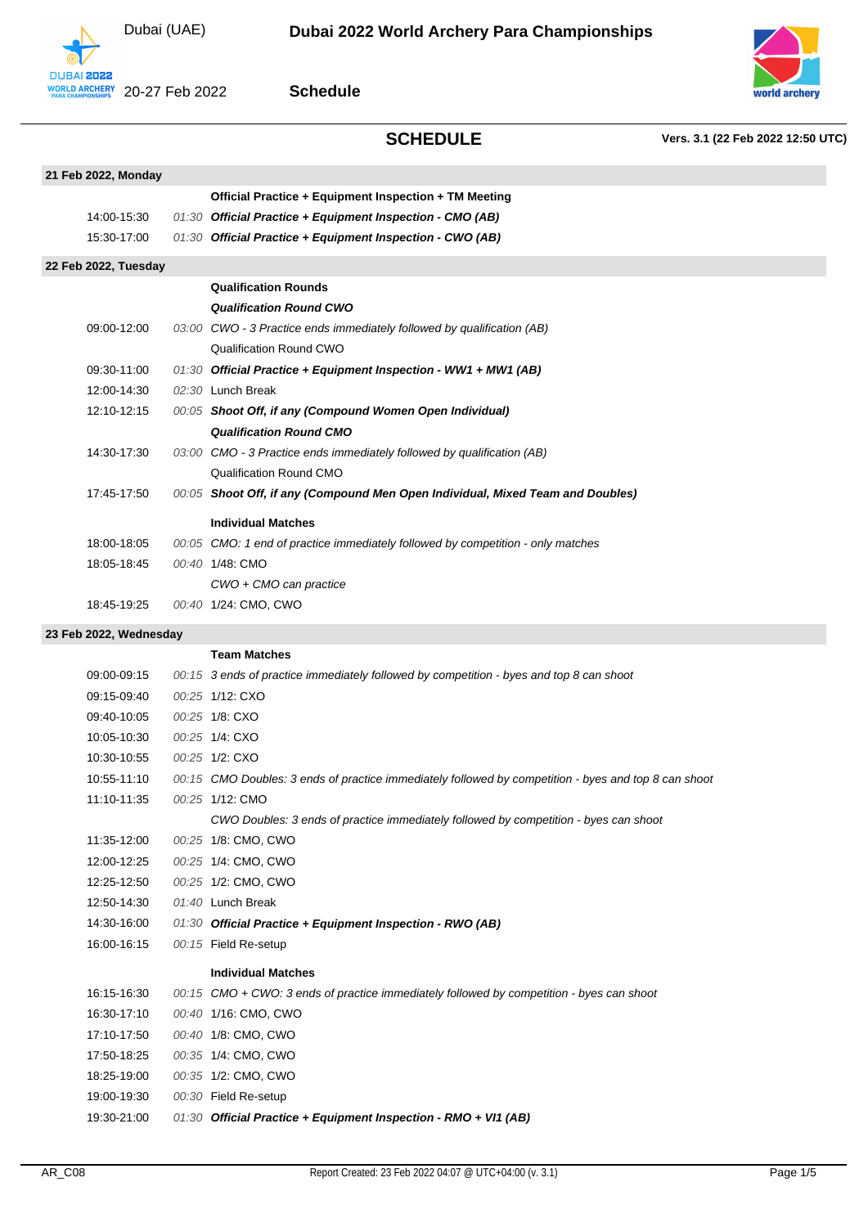



**Schedule**



**SCHEDULE Vers. 3.1 (22 Feb 2022 12:50 UTC)**

| 21 Feb 2022, Monday  |  |                                                                                 |  |  |
|----------------------|--|---------------------------------------------------------------------------------|--|--|
|                      |  | Official Practice + Equipment Inspection + TM Meeting                           |  |  |
| 14:00-15:30          |  | 01:30 Official Practice + Equipment Inspection - CMO (AB)                       |  |  |
| 15:30-17:00          |  | 01:30 Official Practice + Equipment Inspection - CWO (AB)                       |  |  |
| 22 Feb 2022, Tuesday |  |                                                                                 |  |  |
|                      |  | <b>Qualification Rounds</b>                                                     |  |  |
|                      |  | <b>Qualification Round CWO</b>                                                  |  |  |
| 09:00-12:00          |  | 03:00 CWO - 3 Practice ends immediately followed by qualification (AB)          |  |  |
|                      |  | Qualification Round CWO                                                         |  |  |
| 09:30-11:00          |  | 01:30 Official Practice + Equipment Inspection - WW1 + MW1 (AB)                 |  |  |
| 12:00-14:30          |  | 02:30 Lunch Break                                                               |  |  |
| 12:10-12:15          |  | 00:05 Shoot Off, if any (Compound Women Open Individual)                        |  |  |
|                      |  | <b>Qualification Round CMO</b>                                                  |  |  |
| 14:30-17:30          |  | 03:00 CMO - 3 Practice ends immediately followed by qualification (AB)          |  |  |
|                      |  | Qualification Round CMO                                                         |  |  |
| 17:45-17:50          |  | 00:05 Shoot Off, if any (Compound Men Open Individual, Mixed Team and Doubles)  |  |  |
|                      |  | <b>Individual Matches</b>                                                       |  |  |
| 18:00-18:05          |  | 00:05 CMO: 1 end of practice immediately followed by competition - only matches |  |  |
| 18:05-18:45          |  | 00:40 1/48: CMO                                                                 |  |  |
|                      |  | CWO + CMO can practice                                                          |  |  |
| 18:45-19:25          |  | 00:40 1/24: CMO, CWO                                                            |  |  |
|                      |  |                                                                                 |  |  |

### **23 Feb 2022, Wednesday**

|             | <b>Team Matches</b>                                                                                  |
|-------------|------------------------------------------------------------------------------------------------------|
| 09:00-09:15 | 00:15 3 ends of practice immediately followed by competition - byes and top 8 can shoot              |
| 09:15-09:40 | 00:25 1/12: CXO                                                                                      |
| 09:40-10:05 | 00:25 1/8: CXO                                                                                       |
| 10:05-10:30 | 00:25 1/4: CXO                                                                                       |
| 10:30-10:55 | 00:25 1/2: CXO                                                                                       |
| 10:55-11:10 | 00:15 CMO Doubles: 3 ends of practice immediately followed by competition - byes and top 8 can shoot |
| 11:10-11:35 | 00:25 1/12: CMO                                                                                      |
|             | CWO Doubles: 3 ends of practice immediately followed by competition - byes can shoot                 |
| 11:35-12:00 | 00:25 1/8: CMO, CWO                                                                                  |
| 12:00-12:25 | 00:25 1/4: CMO, CWO                                                                                  |
| 12:25-12:50 | 00:25 1/2: CMO, CWO                                                                                  |
| 12:50-14:30 | 01:40 Lunch Break                                                                                    |
| 14:30-16:00 | 01:30 Official Practice + Equipment Inspection - RWO (AB)                                            |
| 16:00-16:15 | 00:15 Field Re-setup                                                                                 |
|             | <b>Individual Matches</b>                                                                            |
| 16:15-16:30 | 00:15 CMO + CWO: 3 ends of practice immediately followed by competition - byes can shoot             |
| 16:30-17:10 | 00:40 1/16: CMO, CWO                                                                                 |
| 17:10-17:50 | 00:40 1/8: CMO, CWO                                                                                  |
| 17:50-18:25 | 00:35 1/4: CMO, CWO                                                                                  |
| 18:25-19:00 | 00:35 1/2: CMO, CWO                                                                                  |
| 19:00-19:30 | 00:30 Field Re-setup                                                                                 |
| 19:30-21:00 | 01:30 Official Practice + Equipment Inspection - RMO + VI1 (AB)                                      |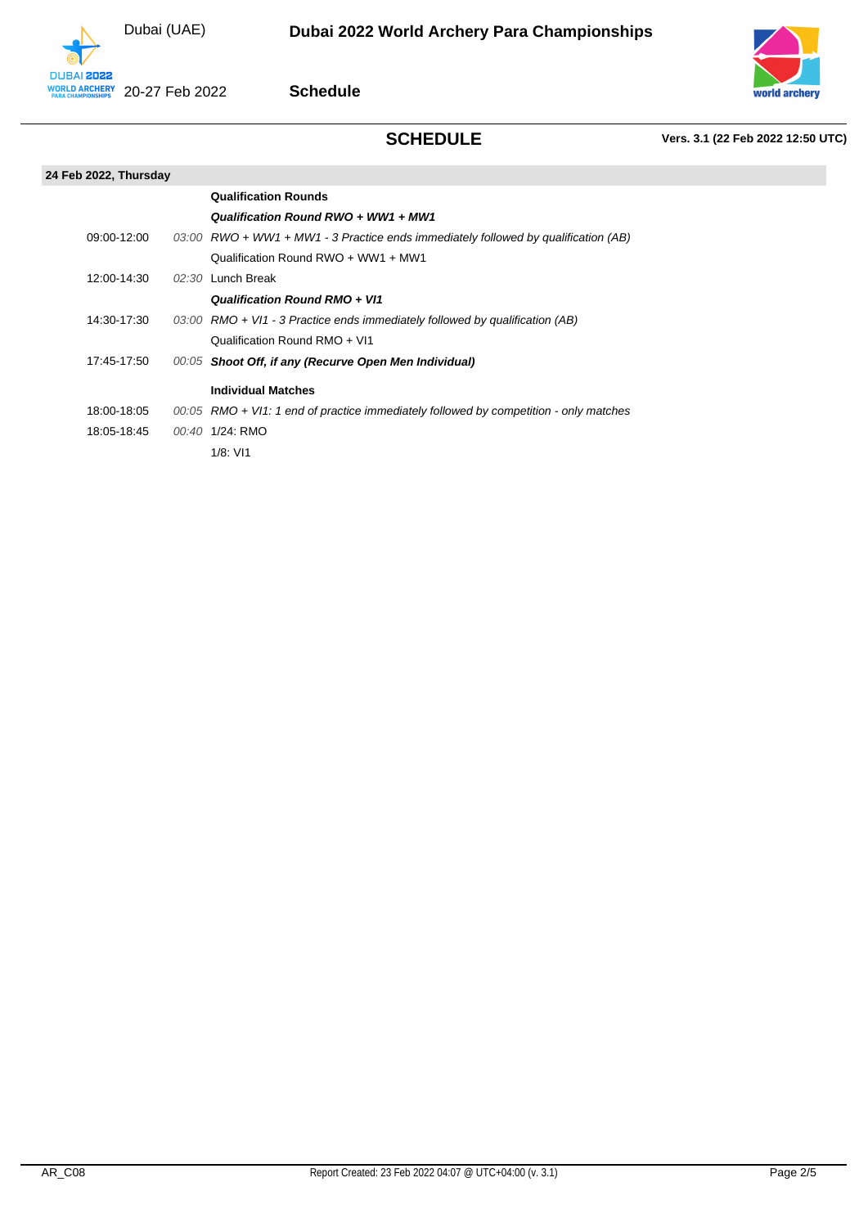Dubai (UAE)



**Schedule**



# **SCHEDULE Vers. 3.1 (22 Feb 2022 12:50 UTC)**

### **24 Feb 2022, Thursday**

|             | <b>Qualification Rounds</b>                                                             |
|-------------|-----------------------------------------------------------------------------------------|
|             | Qualification Round RWO + WW1 + MW1                                                     |
| 09:00-12:00 | $03:00$ RWO + WW1 + MW1 - 3 Practice ends immediately followed by qualification (AB)    |
|             | Qualification Round RWO + WW1 + MW1                                                     |
| 12:00-14:30 | $02:30$ Lunch Break                                                                     |
|             | Qualification Round RMO + VI1                                                           |
| 14:30-17:30 | 03:00 $\,$ RMO + VI1 - 3 Practice ends immediately followed by qualification (AB)       |
|             | Qualification Round RMO + VI1                                                           |
| 17:45-17:50 | 00:05 Shoot Off, if any (Recurve Open Men Individual)                                   |
|             | <b>Individual Matches</b>                                                               |
| 18:00-18:05 | $00:05$ RMO + VI1: 1 end of practice immediately followed by competition - only matches |
| 18:05-18:45 | 00:40 1/24: RMO                                                                         |
|             | 1/8: VI1                                                                                |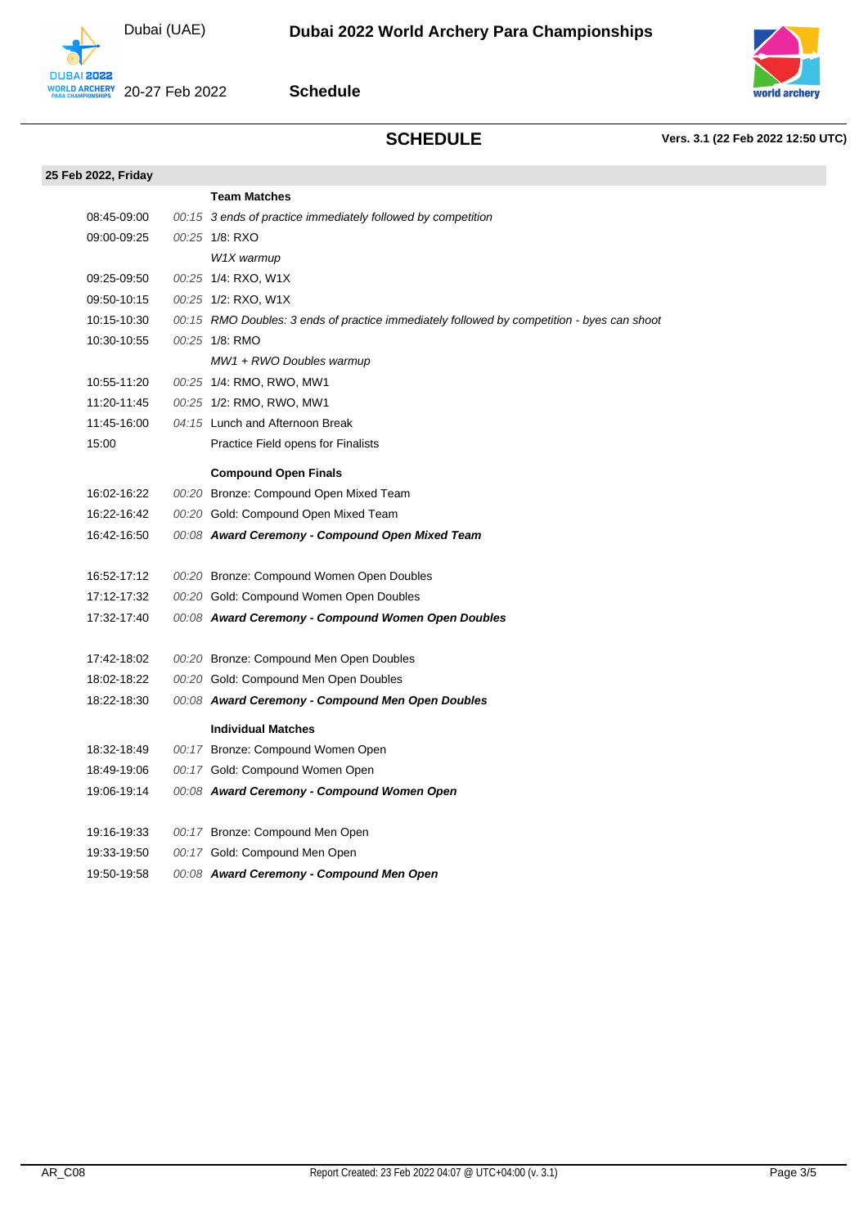Dubai (UAE)





**SCHEDULE Vers. 3.1 (22 Feb 2022 12:50 UTC)**

| 25 Feb 2022, Friday |                                                                                            |
|---------------------|--------------------------------------------------------------------------------------------|
|                     | <b>Team Matches</b>                                                                        |
| 08:45-09:00         | 00:15 3 ends of practice immediately followed by competition                               |
| 09:00-09:25         | 00:25 1/8: RXO                                                                             |
|                     | W1X warmup                                                                                 |
| 09:25-09:50         | 00:25 1/4: RXO, W1X                                                                        |
| 09:50-10:15         | 00:25 1/2: RXO, W1X                                                                        |
| 10:15-10:30         | 00:15 RMO Doubles: 3 ends of practice immediately followed by competition - byes can shoot |
| 10:30-10:55         | 00:25 1/8: RMO                                                                             |
|                     | $MW1 + RWO$ Doubles warmup                                                                 |
| 10:55-11:20         | 00:25 1/4: RMO, RWO, MW1                                                                   |
| 11:20-11:45         | 00:25 1/2: RMO, RWO, MW1                                                                   |
| 11:45-16:00         | 04:15 Lunch and Afternoon Break                                                            |
| 15:00               | Practice Field opens for Finalists                                                         |
|                     | <b>Compound Open Finals</b>                                                                |
| 16:02-16:22         | 00:20 Bronze: Compound Open Mixed Team                                                     |
| 16:22-16:42         | 00:20 Gold: Compound Open Mixed Team                                                       |
| 16:42-16:50         | 00:08 Award Ceremony - Compound Open Mixed Team                                            |
| 16:52-17:12         | 00:20 Bronze: Compound Women Open Doubles                                                  |
| 17:12-17:32         | 00:20 Gold: Compound Women Open Doubles                                                    |
| 17:32-17:40         | 00:08 Award Ceremony - Compound Women Open Doubles                                         |
|                     |                                                                                            |
| 17:42-18:02         | 00:20 Bronze: Compound Men Open Doubles                                                    |
| 18:02-18:22         | 00:20 Gold: Compound Men Open Doubles                                                      |
| 18:22-18:30         | 00:08 Award Ceremony - Compound Men Open Doubles                                           |
|                     | <b>Individual Matches</b>                                                                  |
| 18:32-18:49         | 00:17 Bronze: Compound Women Open                                                          |
| 18:49-19:06         | 00:17 Gold: Compound Women Open                                                            |
| 19:06-19:14         | 00:08 Award Ceremony - Compound Women Open                                                 |
| 19:16-19:33         | 00:17 Bronze: Compound Men Open                                                            |
| 19:33-19:50         | 00:17 Gold: Compound Men Open                                                              |
| 19:50-19:58         | 00:08 Award Ceremony - Compound Men Open                                                   |
|                     |                                                                                            |
|                     |                                                                                            |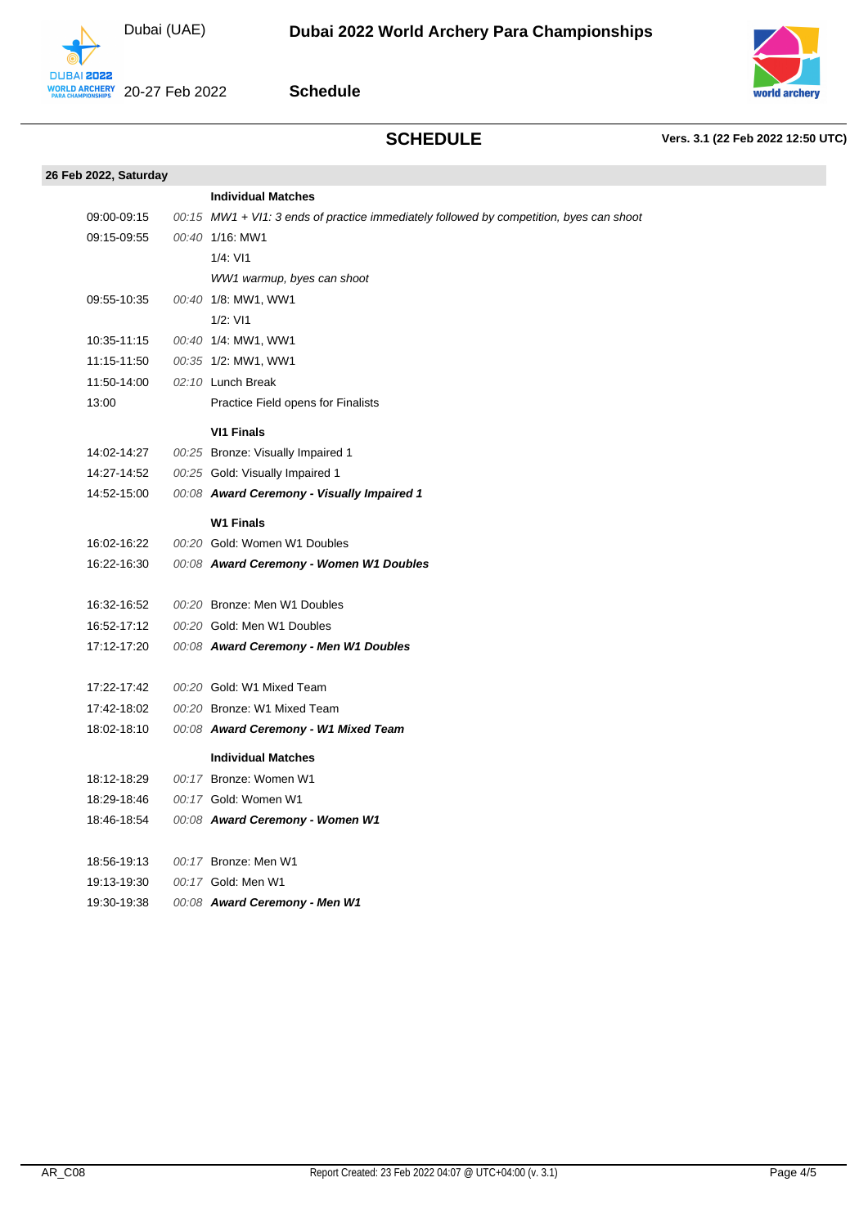Dubai (UAE)



**Schedule**



## **SCHEDULE Vers. 3.1 (22 Feb 2022 12:50 UTC)**

| 26 Feb 2022, Saturday |                                                                                         |
|-----------------------|-----------------------------------------------------------------------------------------|
|                       | <b>Individual Matches</b>                                                               |
| 09:00-09:15           | 00:15 MW1 + VI1: 3 ends of practice immediately followed by competition, byes can shoot |
| 09:15-09:55           | 00:40 1/16: MW1                                                                         |
|                       | $1/4$ : VI1                                                                             |
|                       | WW1 warmup, byes can shoot                                                              |
| 09:55-10:35           | 00:40 1/8: MW1, WW1                                                                     |
|                       | $1/2$ : VI1                                                                             |
| 10:35-11:15           | 00:40 1/4: MW1, WW1                                                                     |
| 11:15-11:50           | 00:35 1/2: MW1, WW1                                                                     |
| 11:50-14:00           | 02:10 Lunch Break                                                                       |
| 13:00                 | Practice Field opens for Finalists                                                      |
|                       | <b>VI1 Finals</b>                                                                       |
| 14:02-14:27           | 00:25 Bronze: Visually Impaired 1                                                       |
| 14:27-14:52           | 00:25 Gold: Visually Impaired 1                                                         |
| 14:52-15:00           | 00:08 Award Ceremony - Visually Impaired 1                                              |
|                       | <b>W1 Finals</b>                                                                        |
| 16:02-16:22           | 00:20 Gold: Women W1 Doubles                                                            |
| 16:22-16:30           | 00:08 Award Ceremony - Women W1 Doubles                                                 |
|                       |                                                                                         |
| 16:32-16:52           | 00:20 Bronze: Men W1 Doubles                                                            |
| 16:52-17:12           | 00:20 Gold: Men W1 Doubles                                                              |
| 17:12-17:20           | 00:08 Award Ceremony - Men W1 Doubles                                                   |
| 17:22-17:42           | 00:20 Gold: W1 Mixed Team                                                               |
| 17:42-18:02           | 00:20 Bronze: W1 Mixed Team                                                             |
| 18:02-18:10           | 00:08 Award Ceremony - W1 Mixed Team                                                    |
|                       |                                                                                         |
|                       | <b>Individual Matches</b>                                                               |
| 18:12-18:29           | 00:17 Bronze: Women W1                                                                  |
| 18:29-18:46           | 00:17 Gold: Women W1                                                                    |
| 18:46-18:54           | 00:08 Award Ceremony - Women W1                                                         |
| 18:56-19:13           | 00:17 Bronze: Men W1                                                                    |
| 19:13-19:30           | 00:17 Gold: Men W1                                                                      |
| 19:30-19:38           | 00:08 Award Ceremony - Men W1                                                           |
|                       |                                                                                         |
|                       |                                                                                         |